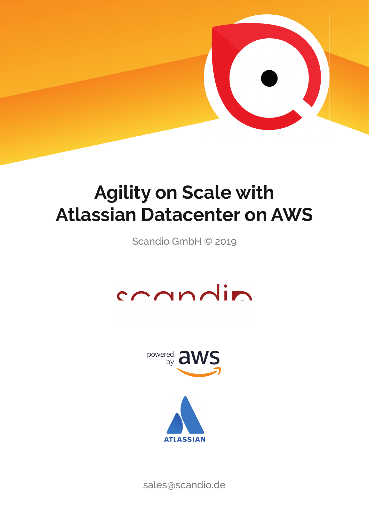

# **Agility on Scale with Atlassian Datacenter on AWS**

Scandio GmbH © 2019





sales@scandio.de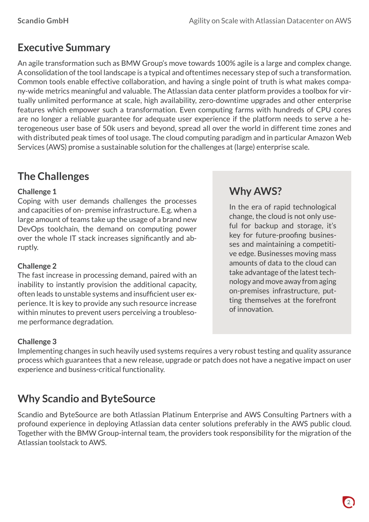# **Executive Summary**

An agile transformation such as BMW Group's move towards 100% agile is a large and complex change. A consolidation of the tool landscape is a typical and oftentimes necessary step of such a transformation. Common tools enable effective collaboration, and having a single point of truth is what makes company-wide metrics meaningful and valuable. The Atlassian data center platform provides a toolbox for virtually unlimited performance at scale, high availability, zero-downtime upgrades and other enterprise features which empower such a transformation. Even computing farms with hundreds of CPU cores are no longer a reliable guarantee for adequate user experience if the platform needs to serve a heterogeneous user base of 50k users and beyond, spread all over the world in different time zones and with distributed peak times of tool usage. The cloud computing paradigm and in particular Amazon Web Services (AWS) promise a sustainable solution for the challenges at (large) enterprise scale.

# **The Challenges**

#### **Challenge 1**

Coping with user demands challenges the processes and capacities of on- premise infrastructure. E.g. when a large amount of teams take up the usage of a brand new DevOps toolchain, the demand on computing power over the whole IT stack increases significantly and abruptly.

#### **Challenge 2**

The fast increase in processing demand, paired with an inability to instantly provision the additional capacity, often leads to unstable systems and insufficient user experience. It is key to provide any such resource increase within minutes to prevent users perceiving a troublesome performance degradation.

## **Why AWS?**

In the era of rapid technological change, the cloud is not only useful for backup and storage, it's key for future-proofing businesses and maintaining a competitive edge. Businesses moving mass amounts of data to the cloud can take advantage of the latest technology and move away from aging on-premises infrastructure, putting themselves at the forefront of innovation.

#### **Challenge 3**

Implementing changes in such heavily used systems requires a very robust testing and quality assurance process which guarantees that a new release, upgrade or patch does not have a negative impact on user experience and business-critical functionality.

## **Why Scandio and ByteSource**

Scandio and ByteSource are both Atlassian Platinum Enterprise and AWS Consulting Partners with a profound experience in deploying Atlassian data center solutions preferably in the AWS public cloud. Together with the BMW Group-internal team, the providers took responsibility for the migration of the Atlassian toolstack to AWS.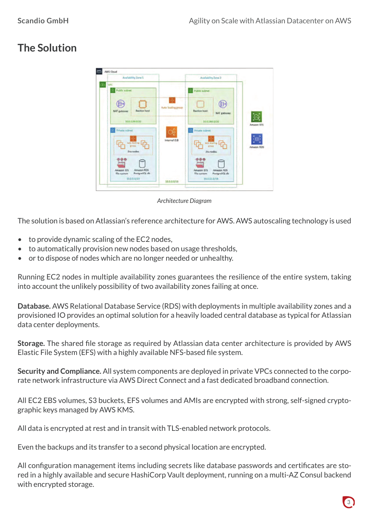# **The Solution**



*Architecture Diagram*

The solution is based on Atlassian's reference architecture for AWS. AWS autoscaling technology is used

- to provide dynamic scaling of the EC2 nodes,
- to automatically provision new nodes based on usage thresholds,
- or to dispose of nodes which are no longer needed or unhealthy.

Running EC2 nodes in multiple availability zones guarantees the resilience of the entire system, taking into account the unlikely possibility of two availability zones failing at once.

**Database.** AWS Relational Database Service (RDS) with deployments in multiple availability zones and a provisioned IO provides an optimal solution for a heavily loaded central database as typical for Atlassian data center deployments.

**Storage.** The shared file storage as required by Atlassian data center architecture is provided by AWS Elastic File System (EFS) with a highly available NFS-based file system.

**Security and Compliance.** All system components are deployed in private VPCs connected to the corporate network infrastructure via AWS Direct Connect and a fast dedicated broadband connection.

All EC2 EBS volumes, S3 buckets, EFS volumes and AMIs are encrypted with strong, self-signed cryptographic keys managed by AWS KMS.

All data is encrypted at rest and in transit with TLS-enabled network protocols.

Even the backups and its transfer to a second physical location are encrypted.

All configuration management items including secrets like database passwords and certificates are stored in a highly available and secure HashiCorp Vault deployment, running on a multi-AZ Consul backend with encrypted storage.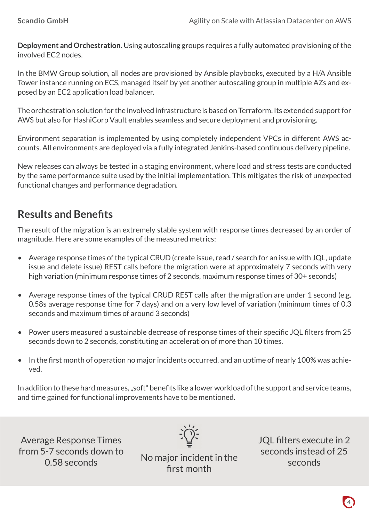**Deployment and Orchestration.** Using autoscaling groups requires a fully automated provisioning of the involved EC2 nodes.

In the BMW Group solution, all nodes are provisioned by Ansible playbooks, executed by a H/A Ansible Tower instance running on ECS, managed itself by yet another autoscaling group in multiple AZs and exposed by an EC2 application load balancer.

The orchestration solution for the involved infrastructure is based on Terraform. Its extended support for AWS but also for HashiCorp Vault enables seamless and secure deployment and provisioning.

Environment separation is implemented by using completely independent VPCs in different AWS accounts. All environments are deployed via a fully integrated Jenkins-based continuous delivery pipeline.

New releases can always be tested in a staging environment, where load and stress tests are conducted by the same performance suite used by the initial implementation. This mitigates the risk of unexpected functional changes and performance degradation.

# **Results and Benefits**

The result of the migration is an extremely stable system with response times decreased by an order of magnitude. Here are some examples of the measured metrics:

- Average response times of the typical CRUD (create issue, read / search for an issue with JQL, update issue and delete issue) REST calls before the migration were at approximately 7 seconds with very high variation (minimum response times of 2 seconds, maximum response times of 30+ seconds)
- Average response times of the typical CRUD REST calls after the migration are under 1 second (e.g. 0.58s average response time for 7 days) and on a very low level of variation (minimum times of 0.3 seconds and maximum times of around 3 seconds)
- Power users measured a sustainable decrease of response times of their specific JQL filters from 25 seconds down to 2 seconds, constituting an acceleration of more than 10 times.
- In the first month of operation no major incidents occurred, and an uptime of nearly 100% was achieved.

In addition to these hard measures, "soft" benefits like a lower workload of the support and service teams, and time gained for functional improvements have to be mentioned.

Average Response Times from 5-7 seconds down to

0.58 seconds down to Mo major incident in the first month

JOL filters execute in 2 seconds instead of 25 seconds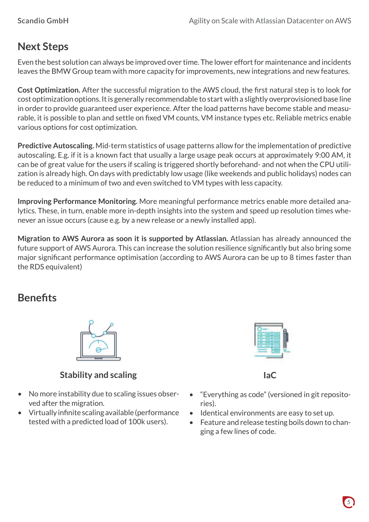# **Next Steps**

Even the best solution can always be improved over time. The lower effort for maintenance and incidents leaves the BMW Group team with more capacity for improvements, new integrations and new features.

**Cost Optimization.** After the successful migration to the AWS cloud, the first natural step is to look for cost optimization options. It is generally recommendable to start with a slightly overprovisioned base line in order to provide guaranteed user experience. After the load patterns have become stable and measurable, it is possible to plan and settle on fixed VM counts, VM instance types etc. Reliable metrics enable various options for cost optimization.

**Predictive Autoscaling.** Mid-term statistics of usage patterns allow for the implementation of predictive autoscaling. E.g. if it is a known fact that usually a large usage peak occurs at approximately 9:00 AM, it can be of great value for the users if scaling is triggered shortly beforehand- and not when the CPU utilization is already high. On days with predictably low usage (like weekends and public holidays) nodes can be reduced to a minimum of two and even switched to VM types with less capacity.

**Improving Performance Monitoring.** More meaningful performance metrics enable more detailed analytics. These, in turn, enable more in-depth insights into the system and speed up resolution times whenever an issue occurs (cause e.g. by a new release or a newly installed app).

**Migration to AWS Aurora as soon it is supported by Atlassian.** Atlassian has already announced the future support of AWS Aurora. This can increase the solution resilience significantly but also bring some major significant performance optimisation (according to AWS Aurora can be up to 8 times faster than the RDS equivalent)

## **Benefits**



### **Stability and scaling**

- No more instability due to scaling issues observed after the migration.
- Virtually infinite scaling available (performance tested with a predicted load of 100k users).



**IaC**

- "Everything as code" (versioned in git repositories).
- Identical environments are easy to set up.
- Feature and release testing boils down to changing a few lines of code.